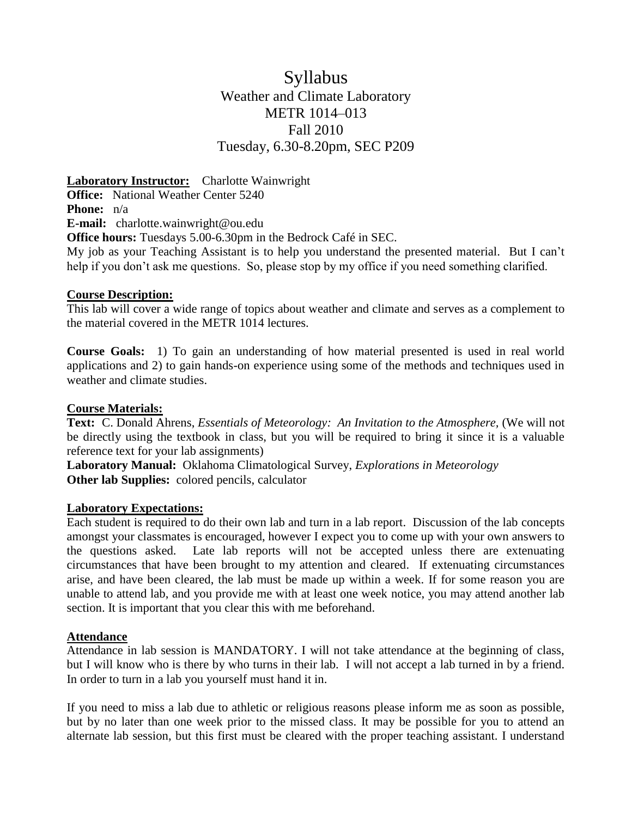# Syllabus Weather and Climate Laboratory METR 1014–013 Fall 2010 Tuesday, 6.30-8.20pm, SEC P209

**Laboratory Instructor:** Charlotte Wainwright

**Office:** National Weather Center 5240

**Phone:** n/a

**E-mail:** charlotte.wainwright@ou.edu

**Office hours:** Tuesdays 5.00-6.30pm in the Bedrock Café in SEC.

My job as your Teaching Assistant is to help you understand the presented material. But I can't help if you don't ask me questions. So, please stop by my office if you need something clarified.

# **Course Description:**

This lab will cover a wide range of topics about weather and climate and serves as a complement to the material covered in the METR 1014 lectures.

**Course Goals:** 1) To gain an understanding of how material presented is used in real world applications and 2) to gain hands-on experience using some of the methods and techniques used in weather and climate studies.

# **Course Materials:**

**Text:** C. Donald Ahrens, *Essentials of Meteorology: An Invitation to the Atmosphere,* (We will not be directly using the textbook in class, but you will be required to bring it since it is a valuable reference text for your lab assignments)

**Laboratory Manual:** Oklahoma Climatological Survey, *Explorations in Meteorology* **Other lab Supplies:** colored pencils, calculator

# **Laboratory Expectations:**

Each student is required to do their own lab and turn in a lab report. Discussion of the lab concepts amongst your classmates is encouraged, however I expect you to come up with your own answers to the questions asked. Late lab reports will not be accepted unless there are extenuating circumstances that have been brought to my attention and cleared. If extenuating circumstances arise, and have been cleared, the lab must be made up within a week. If for some reason you are unable to attend lab, and you provide me with at least one week notice, you may attend another lab section. It is important that you clear this with me beforehand.

# **Attendance**

Attendance in lab session is MANDATORY. I will not take attendance at the beginning of class, but I will know who is there by who turns in their lab. I will not accept a lab turned in by a friend. In order to turn in a lab you yourself must hand it in.

If you need to miss a lab due to athletic or religious reasons please inform me as soon as possible, but by no later than one week prior to the missed class. It may be possible for you to attend an alternate lab session, but this first must be cleared with the proper teaching assistant. I understand